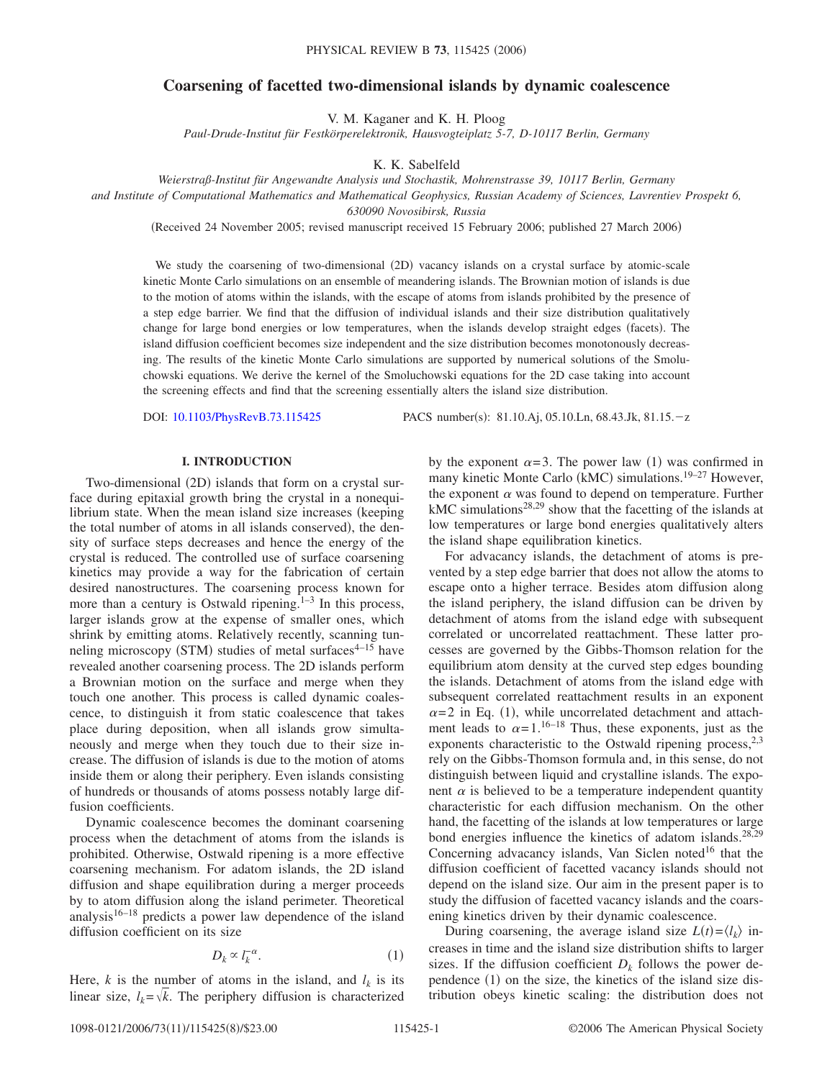# **Coarsening of facetted two-dimensional islands by dynamic coalescence**

V. M. Kaganer and K. H. Ploog

*Paul-Drude-Institut für Festkörperelektronik, Hausvogteiplatz 5-7, D-10117 Berlin, Germany*

K. K. Sabelfeld

*Weierstraß-Institut für Angewandte Analysis und Stochastik, Mohrenstrasse 39, 10117 Berlin, Germany*

*and Institute of Computational Mathematics and Mathematical Geophysics, Russian Academy of Sciences, Lavrentiev Prospekt 6, 630090 Novosibirsk, Russia*

Received 24 November 2005; revised manuscript received 15 February 2006; published 27 March 2006-

We study the coarsening of two-dimensional (2D) vacancy islands on a crystal surface by atomic-scale kinetic Monte Carlo simulations on an ensemble of meandering islands. The Brownian motion of islands is due to the motion of atoms within the islands, with the escape of atoms from islands prohibited by the presence of a step edge barrier. We find that the diffusion of individual islands and their size distribution qualitatively change for large bond energies or low temperatures, when the islands develop straight edges (facets). The island diffusion coefficient becomes size independent and the size distribution becomes monotonously decreasing. The results of the kinetic Monte Carlo simulations are supported by numerical solutions of the Smoluchowski equations. We derive the kernel of the Smoluchowski equations for the 2D case taking into account the screening effects and find that the screening essentially alters the island size distribution.

DOI: [10.1103/PhysRevB.73.115425](http://dx.doi.org/10.1103/PhysRevB.73.115425)

PACS number(s): 81.10.Aj, 05.10.Ln, 68.43.Jk, 81.15.-z

# **I. INTRODUCTION**

Two-dimensional (2D) islands that form on a crystal surface during epitaxial growth bring the crystal in a nonequilibrium state. When the mean island size increases (keeping the total number of atoms in all islands conserved), the density of surface steps decreases and hence the energy of the crystal is reduced. The controlled use of surface coarsening kinetics may provide a way for the fabrication of certain desired nanostructures. The coarsening process known for more than a century is Ostwald ripening. $1-3$  In this process, larger islands grow at the expense of smaller ones, which shrink by emitting atoms. Relatively recently, scanning tunneling microscopy (STM) studies of metal surfaces<sup>4-15</sup> have revealed another coarsening process. The 2D islands perform a Brownian motion on the surface and merge when they touch one another. This process is called dynamic coalescence, to distinguish it from static coalescence that takes place during deposition, when all islands grow simultaneously and merge when they touch due to their size increase. The diffusion of islands is due to the motion of atoms inside them or along their periphery. Even islands consisting of hundreds or thousands of atoms possess notably large diffusion coefficients.

Dynamic coalescence becomes the dominant coarsening process when the detachment of atoms from the islands is prohibited. Otherwise, Ostwald ripening is a more effective coarsening mechanism. For adatom islands, the 2D island diffusion and shape equilibration during a merger proceeds by to atom diffusion along the island perimeter. Theoretical analysis $16-18$  predicts a power law dependence of the island diffusion coefficient on its size

$$
D_k \propto l_k^{-\alpha}.\tag{1}
$$

Here,  $k$  is the number of atoms in the island, and  $l_k$  is its linear size,  $l_k = \sqrt{k}$ . The periphery diffusion is characterized

by the exponent  $\alpha = 3$ . The power law (1) was confirmed in many kinetic Monte Carlo (kMC) simulations.<sup>19-27</sup> However, the exponent  $\alpha$  was found to depend on temperature. Further kMC simulations<sup>28,29</sup> show that the facetting of the islands at low temperatures or large bond energies qualitatively alters the island shape equilibration kinetics.

For advacancy islands, the detachment of atoms is prevented by a step edge barrier that does not allow the atoms to escape onto a higher terrace. Besides atom diffusion along the island periphery, the island diffusion can be driven by detachment of atoms from the island edge with subsequent correlated or uncorrelated reattachment. These latter processes are governed by the Gibbs-Thomson relation for the equilibrium atom density at the curved step edges bounding the islands. Detachment of atoms from the island edge with subsequent correlated reattachment results in an exponent  $\alpha = 2$  in Eq. (1), while uncorrelated detachment and attachment leads to  $\alpha$ =1.<sup>16–18</sup> Thus, these exponents, just as the exponents characteristic to the Ostwald ripening process.<sup>2,3</sup> rely on the Gibbs-Thomson formula and, in this sense, do not distinguish between liquid and crystalline islands. The exponent  $\alpha$  is believed to be a temperature independent quantity characteristic for each diffusion mechanism. On the other hand, the facetting of the islands at low temperatures or large bond energies influence the kinetics of adatom islands.<sup>28,29</sup> Concerning advacancy islands, Van Siclen noted<sup>16</sup> that the diffusion coefficient of facetted vacancy islands should not depend on the island size. Our aim in the present paper is to study the diffusion of facetted vacancy islands and the coarsening kinetics driven by their dynamic coalescence.

During coarsening, the average island size  $L(t) = \langle l_k \rangle$  increases in time and the island size distribution shifts to larger sizes. If the diffusion coefficient  $D_k$  follows the power dependence (1) on the size, the kinetics of the island size distribution obeys kinetic scaling: the distribution does not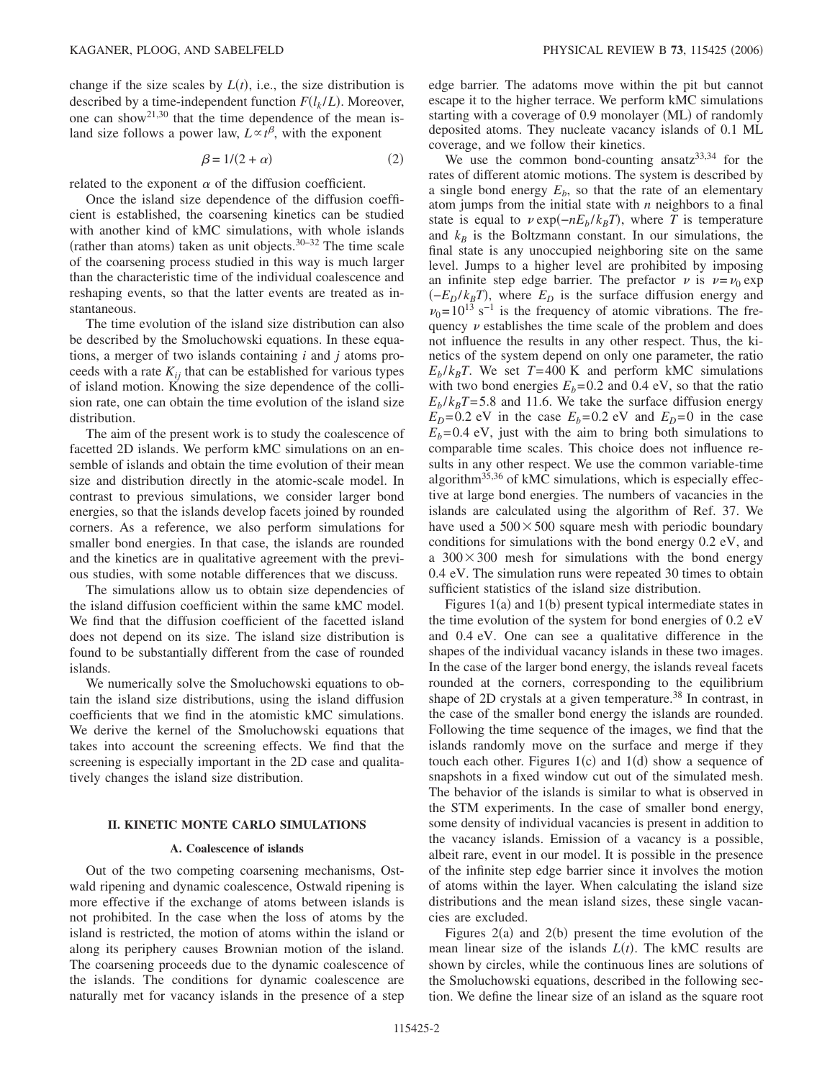change if the size scales by  $L(t)$ , i.e., the size distribution is described by a time-independent function  $F(l_k/L)$ . Moreover, one can show<sup>21,30</sup> that the time dependence of the mean island size follows a power law,  $L \propto t^{\beta}$ , with the exponent

$$
\beta = 1/(2 + \alpha) \tag{2}
$$

related to the exponent  $\alpha$  of the diffusion coefficient.

Once the island size dependence of the diffusion coefficient is established, the coarsening kinetics can be studied with another kind of kMC simulations, with whole islands (rather than atoms) taken as unit objects. $30-32$  The time scale of the coarsening process studied in this way is much larger than the characteristic time of the individual coalescence and reshaping events, so that the latter events are treated as instantaneous.

The time evolution of the island size distribution can also be described by the Smoluchowski equations. In these equations, a merger of two islands containing *i* and *j* atoms proceeds with a rate  $K_{ij}$  that can be established for various types of island motion. Knowing the size dependence of the collision rate, one can obtain the time evolution of the island size distribution.

The aim of the present work is to study the coalescence of facetted 2D islands. We perform kMC simulations on an ensemble of islands and obtain the time evolution of their mean size and distribution directly in the atomic-scale model. In contrast to previous simulations, we consider larger bond energies, so that the islands develop facets joined by rounded corners. As a reference, we also perform simulations for smaller bond energies. In that case, the islands are rounded and the kinetics are in qualitative agreement with the previous studies, with some notable differences that we discuss.

The simulations allow us to obtain size dependencies of the island diffusion coefficient within the same kMC model. We find that the diffusion coefficient of the facetted island does not depend on its size. The island size distribution is found to be substantially different from the case of rounded islands.

We numerically solve the Smoluchowski equations to obtain the island size distributions, using the island diffusion coefficients that we find in the atomistic kMC simulations. We derive the kernel of the Smoluchowski equations that takes into account the screening effects. We find that the screening is especially important in the 2D case and qualitatively changes the island size distribution.

# **II. KINETIC MONTE CARLO SIMULATIONS**

### **A. Coalescence of islands**

Out of the two competing coarsening mechanisms, Ostwald ripening and dynamic coalescence, Ostwald ripening is more effective if the exchange of atoms between islands is not prohibited. In the case when the loss of atoms by the island is restricted, the motion of atoms within the island or along its periphery causes Brownian motion of the island. The coarsening proceeds due to the dynamic coalescence of the islands. The conditions for dynamic coalescence are naturally met for vacancy islands in the presence of a step edge barrier. The adatoms move within the pit but cannot escape it to the higher terrace. We perform kMC simulations starting with a coverage of 0.9 monolayer (ML) of randomly deposited atoms. They nucleate vacancy islands of 0.1 ML coverage, and we follow their kinetics.

We use the common bond-counting ansatz $33,34$  for the rates of different atomic motions. The system is described by a single bond energy  $E<sub>b</sub>$ , so that the rate of an elementary atom jumps from the initial state with *n* neighbors to a final state is equal to  $\nu \exp(-nE_b / k_B T)$ , where *T* is temperature and  $k_B$  is the Boltzmann constant. In our simulations, the final state is any unoccupied neighboring site on the same level. Jumps to a higher level are prohibited by imposing an infinite step edge barrier. The prefactor  $\nu$  is  $\nu = \nu_0 \exp(\nu_0 t)$  $(-E_D / k_B T)$ , where  $E_D$  is the surface diffusion energy and  $v_0$ = 10<sup>13</sup> s<sup>-1</sup> is the frequency of atomic vibrations. The frequency  $\nu$  establishes the time scale of the problem and does not influence the results in any other respect. Thus, the kinetics of the system depend on only one parameter, the ratio  $E_b / k_B T$ . We set *T*=400 K and perform kMC simulations with two bond energies  $E_b = 0.2$  and 0.4 eV, so that the ratio  $E_b / k_B T = 5.8$  and 11.6. We take the surface diffusion energy  $E_D$ =0.2 eV in the case  $E_b$ =0.2 eV and  $E_D$ =0 in the case  $E_b$ = 0.4 eV, just with the aim to bring both simulations to comparable time scales. This choice does not influence results in any other respect. We use the common variable-time algorithm35,36 of kMC simulations, which is especially effective at large bond energies. The numbers of vacancies in the islands are calculated using the algorithm of Ref. 37. We have used a  $500 \times 500$  square mesh with periodic boundary conditions for simulations with the bond energy 0.2 eV, and a  $300 \times 300$  mesh for simulations with the bond energy 0.4 eV. The simulation runs were repeated 30 times to obtain sufficient statistics of the island size distribution.

Figures  $1(a)$  and  $1(b)$  present typical intermediate states in the time evolution of the system for bond energies of 0.2 eV and 0.4 eV. One can see a qualitative difference in the shapes of the individual vacancy islands in these two images. In the case of the larger bond energy, the islands reveal facets rounded at the corners, corresponding to the equilibrium shape of 2D crystals at a given temperature.<sup>38</sup> In contrast, in the case of the smaller bond energy the islands are rounded. Following the time sequence of the images, we find that the islands randomly move on the surface and merge if they touch each other. Figures  $1(c)$  and  $1(d)$  show a sequence of snapshots in a fixed window cut out of the simulated mesh. The behavior of the islands is similar to what is observed in the STM experiments. In the case of smaller bond energy, some density of individual vacancies is present in addition to the vacancy islands. Emission of a vacancy is a possible, albeit rare, event in our model. It is possible in the presence of the infinite step edge barrier since it involves the motion of atoms within the layer. When calculating the island size distributions and the mean island sizes, these single vacancies are excluded.

Figures  $2(a)$  and  $2(b)$  present the time evolution of the mean linear size of the islands  $L(t)$ . The kMC results are shown by circles, while the continuous lines are solutions of the Smoluchowski equations, described in the following section. We define the linear size of an island as the square root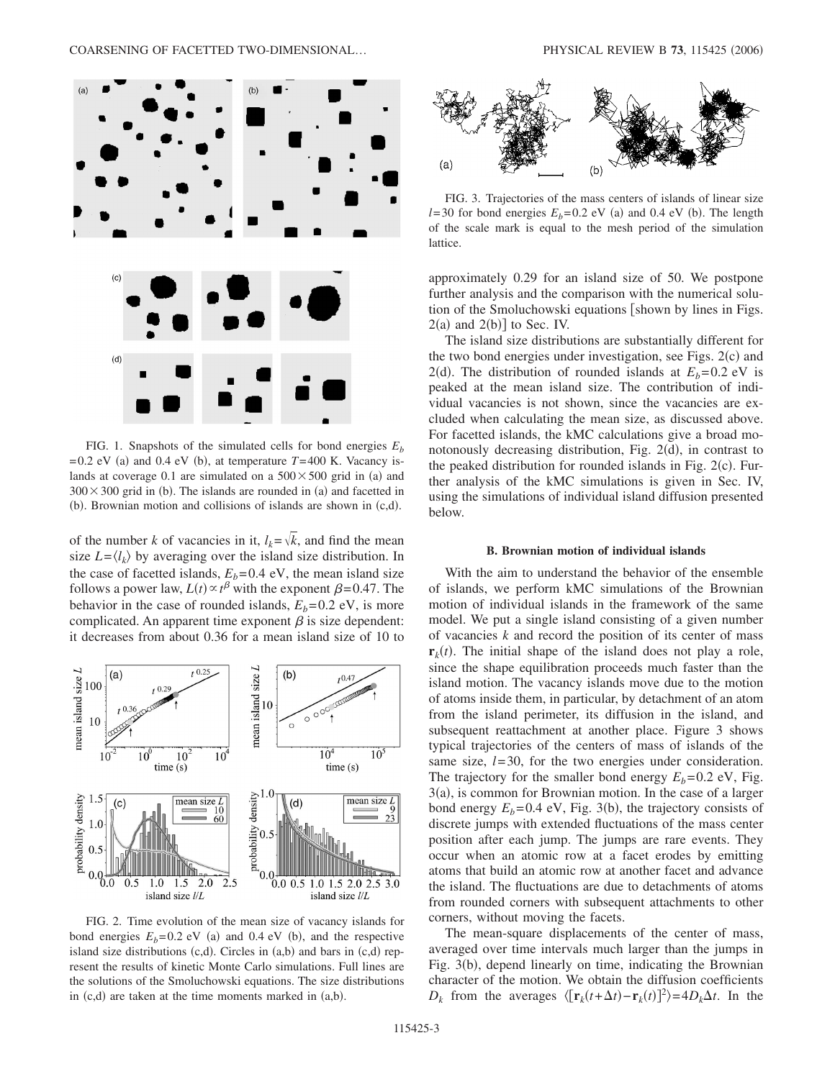

FIG. 1. Snapshots of the simulated cells for bond energies  $E<sub>b</sub>$  $= 0.2$  eV (a) and 0.4 eV (b), at temperature  $T = 400$  K. Vacancy islands at coverage 0.1 are simulated on a  $500 \times 500$  grid in (a) and  $300 \times 300$  grid in (b). The islands are rounded in (a) and facetted in (b). Brownian motion and collisions of islands are shown in (c,d).

of the number *k* of vacancies in it,  $l_k = \sqrt{k}$ , and find the mean size  $L = \langle l_k \rangle$  by averaging over the island size distribution. In the case of facetted islands,  $E_b$ = 0.4 eV, the mean island size follows a power law,  $L(t) \propto t^{\beta}$  with the exponent  $\beta = 0.47$ . The behavior in the case of rounded islands,  $E_b$ =0.2 eV, is more complicated. An apparent time exponent  $\beta$  is size dependent: it decreases from about 0.36 for a mean island size of 10 to



FIG. 2. Time evolution of the mean size of vacancy islands for bond energies  $E_b = 0.2$  eV (a) and 0.4 eV (b), and the respective island size distributions  $(c,d)$ . Circles in  $(a,b)$  and bars in  $(c,d)$  represent the results of kinetic Monte Carlo simulations. Full lines are the solutions of the Smoluchowski equations. The size distributions in  $(c,d)$  are taken at the time moments marked in  $(a,b)$ .



FIG. 3. Trajectories of the mass centers of islands of linear size  $l = 30$  for bond energies  $E_b = 0.2$  eV (a) and 0.4 eV (b). The length of the scale mark is equal to the mesh period of the simulation lattice.

approximately 0.29 for an island size of 50. We postpone further analysis and the comparison with the numerical solution of the Smoluchowski equations [shown by lines in Figs.  $2(a)$  and  $2(b)$ ] to Sec. IV.

The island size distributions are substantially different for the two bond energies under investigation, see Figs. 2(c) and 2(d). The distribution of rounded islands at  $E_b$ =0.2 eV is peaked at the mean island size. The contribution of individual vacancies is not shown, since the vacancies are excluded when calculating the mean size, as discussed above. For facetted islands, the kMC calculations give a broad monotonously decreasing distribution, Fig.  $2(d)$ , in contrast to the peaked distribution for rounded islands in Fig.  $2(c)$ . Further analysis of the kMC simulations is given in Sec. IV, using the simulations of individual island diffusion presented below.

## **B. Brownian motion of individual islands**

With the aim to understand the behavior of the ensemble of islands, we perform kMC simulations of the Brownian motion of individual islands in the framework of the same model. We put a single island consisting of a given number of vacancies *k* and record the position of its center of mass  $\mathbf{r}_k(t)$ . The initial shape of the island does not play a role, since the shape equilibration proceeds much faster than the island motion. The vacancy islands move due to the motion of atoms inside them, in particular, by detachment of an atom from the island perimeter, its diffusion in the island, and subsequent reattachment at another place. Figure 3 shows typical trajectories of the centers of mass of islands of the same size,  $l=30$ , for the two energies under consideration. The trajectory for the smaller bond energy  $E_b = 0.2$  eV, Fig.  $3(a)$ , is common for Brownian motion. In the case of a larger bond energy  $E_b = 0.4$  eV, Fig. 3(b), the trajectory consists of discrete jumps with extended fluctuations of the mass center position after each jump. The jumps are rare events. They occur when an atomic row at a facet erodes by emitting atoms that build an atomic row at another facet and advance the island. The fluctuations are due to detachments of atoms from rounded corners with subsequent attachments to other corners, without moving the facets.

The mean-square displacements of the center of mass, averaged over time intervals much larger than the jumps in Fig. 3(b), depend linearly on time, indicating the Brownian character of the motion. We obtain the diffusion coefficients *D<sub>k</sub>* from the averages  $\langle [\mathbf{r}_k(t+\Delta t) - \mathbf{r}_k(t)]^2 \rangle = 4D_k\Delta t$ . In the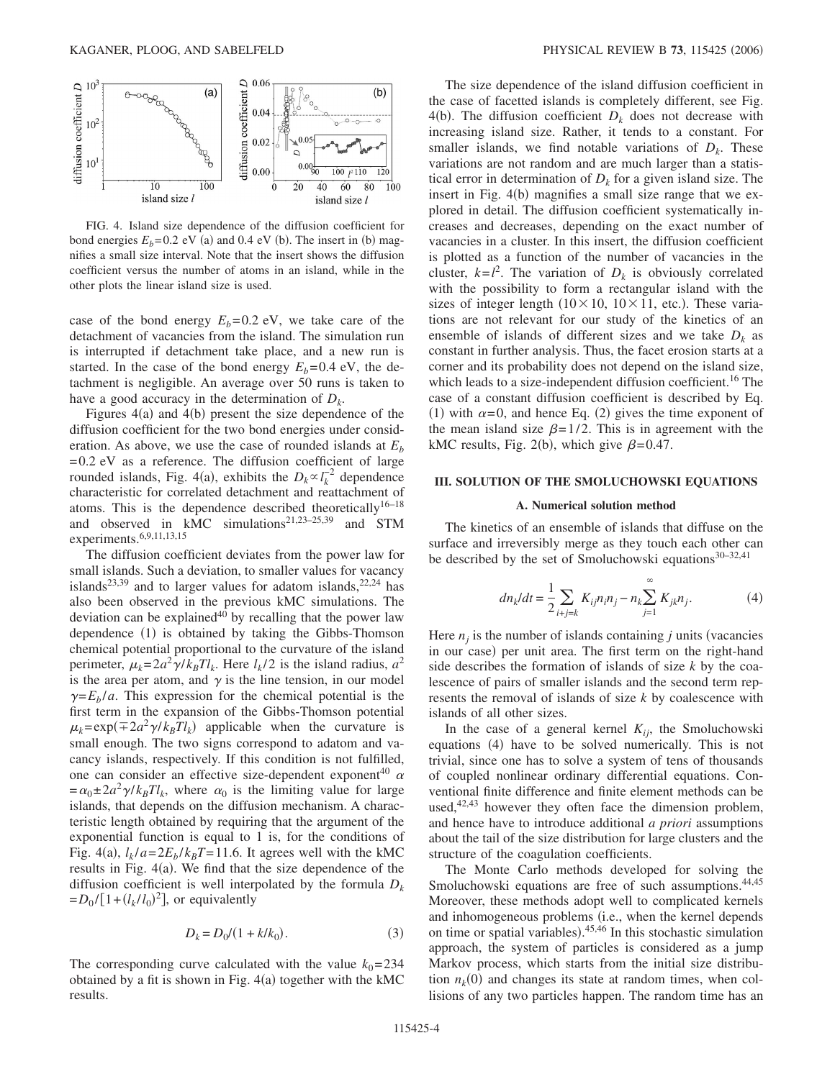

FIG. 4. Island size dependence of the diffusion coefficient for bond energies  $E_b = 0.2$  eV (a) and 0.4 eV (b). The insert in (b) magnifies a small size interval. Note that the insert shows the diffusion coefficient versus the number of atoms in an island, while in the other plots the linear island size is used.

case of the bond energy  $E_b = 0.2$  eV, we take care of the detachment of vacancies from the island. The simulation run is interrupted if detachment take place, and a new run is started. In the case of the bond energy  $E_b$ =0.4 eV, the detachment is negligible. An average over 50 runs is taken to have a good accuracy in the determination of  $D_k$ .

Figures  $4(a)$  and  $4(b)$  present the size dependence of the diffusion coefficient for the two bond energies under consideration. As above, we use the case of rounded islands at  $E<sub>b</sub>$ = 0.2 eV as a reference. The diffusion coefficient of large rounded islands, Fig. 4(a), exhibits the  $D_k \propto l_k^{-2}$  dependence characteristic for correlated detachment and reattachment of atoms. This is the dependence described theoretically<sup>16-18</sup> and observed in  $kMC$  simulations<sup>21,23–25,39</sup> and STM experiments.6,9,11,13,15

The diffusion coefficient deviates from the power law for small islands. Such a deviation, to smaller values for vacancy islands<sup>23,39</sup> and to larger values for adatom islands,  $22,24$  has also been observed in the previous kMC simulations. The deviation can be explained<sup>40</sup> by recalling that the power law dependence (1) is obtained by taking the Gibbs-Thomson chemical potential proportional to the curvature of the island perimeter,  $\mu_k = 2a^2 \gamma / k_B T l_k$ . Here  $l_k/2$  is the island radius,  $a^2$ is the area per atom, and  $\gamma$  is the line tension, in our model  $\gamma = E_b / a$ . This expression for the chemical potential is the first term in the expansion of the Gibbs-Thomson potential  $\mu_k = \exp(\mp 2a^2 \gamma / k_B T l_k)$  applicable when the curvature is small enough. The two signs correspond to adatom and vacancy islands, respectively. If this condition is not fulfilled, one can consider an effective size-dependent exponent<sup>40</sup>  $\alpha$  $=\alpha_0 \pm 2a^2 \gamma / k_B T l_k$ , where  $\alpha_0$  is the limiting value for large islands, that depends on the diffusion mechanism. A characteristic length obtained by requiring that the argument of the exponential function is equal to 1 is, for the conditions of Fig. 4(a),  $l_k/a = 2E_b/k_B T = 11.6$ . It agrees well with the kMC results in Fig.  $4(a)$ . We find that the size dependence of the diffusion coefficient is well interpolated by the formula  $D_k$  $=D_0 / [1 + (l_k / l_0)^2]$ , or equivalently

$$
D_k = D_0 / (1 + k/k_0).
$$
 (3)

The corresponding curve calculated with the value  $k_0$ = 234 obtained by a fit is shown in Fig.  $4(a)$  together with the kMC results.

The size dependence of the island diffusion coefficient in the case of facetted islands is completely different, see Fig. 4(b). The diffusion coefficient  $D_k$  does not decrease with increasing island size. Rather, it tends to a constant. For smaller islands, we find notable variations of  $D_k$ . These variations are not random and are much larger than a statistical error in determination of  $D_k$  for a given island size. The insert in Fig. 4(b) magnifies a small size range that we explored in detail. The diffusion coefficient systematically increases and decreases, depending on the exact number of vacancies in a cluster. In this insert, the diffusion coefficient is plotted as a function of the number of vacancies in the cluster,  $k=l^2$ . The variation of  $D_k$  is obviously correlated with the possibility to form a rectangular island with the sizes of integer length  $(10 \times 10, 10 \times 11,$  etc.). These variations are not relevant for our study of the kinetics of an ensemble of islands of different sizes and we take  $D_k$  as constant in further analysis. Thus, the facet erosion starts at a corner and its probability does not depend on the island size, which leads to a size-independent diffusion coefficient.<sup>16</sup> The case of a constant diffusion coefficient is described by Eq. (1) with  $\alpha = 0$ , and hence Eq. (2) gives the time exponent of the mean island size  $\beta = 1/2$ . This is in agreement with the kMC results, Fig. 2(b), which give  $\beta = 0.47$ .

## **III. SOLUTION OF THE SMOLUCHOWSKI EQUATIONS**

#### **A. Numerical solution method**

The kinetics of an ensemble of islands that diffuse on the surface and irreversibly merge as they touch each other can be described by the set of Smoluchowski equations $30-32,41$ 

$$
dn_k/dt = \frac{1}{2} \sum_{i+j=k} K_{ij} n_i n_j - n_k \sum_{j=1}^{\infty} K_{jk} n_j.
$$
 (4)

Here  $n<sub>i</sub>$  is the number of islands containing *j* units (vacancies in our case) per unit area. The first term on the right-hand side describes the formation of islands of size *k* by the coalescence of pairs of smaller islands and the second term represents the removal of islands of size *k* by coalescence with islands of all other sizes.

In the case of a general kernel  $K_{ij}$ , the Smoluchowski equations (4) have to be solved numerically. This is not trivial, since one has to solve a system of tens of thousands of coupled nonlinear ordinary differential equations. Conventional finite difference and finite element methods can be used, $42,43$  however they often face the dimension problem, and hence have to introduce additional *a priori* assumptions about the tail of the size distribution for large clusters and the structure of the coagulation coefficients.

The Monte Carlo methods developed for solving the Smoluchowski equations are free of such assumptions.<sup>44,45</sup> Moreover, these methods adopt well to complicated kernels and inhomogeneous problems (i.e., when the kernel depends on time or spatial variables).<sup>45,46</sup> In this stochastic simulation approach, the system of particles is considered as a jump Markov process, which starts from the initial size distribution  $n_k(0)$  and changes its state at random times, when collisions of any two particles happen. The random time has an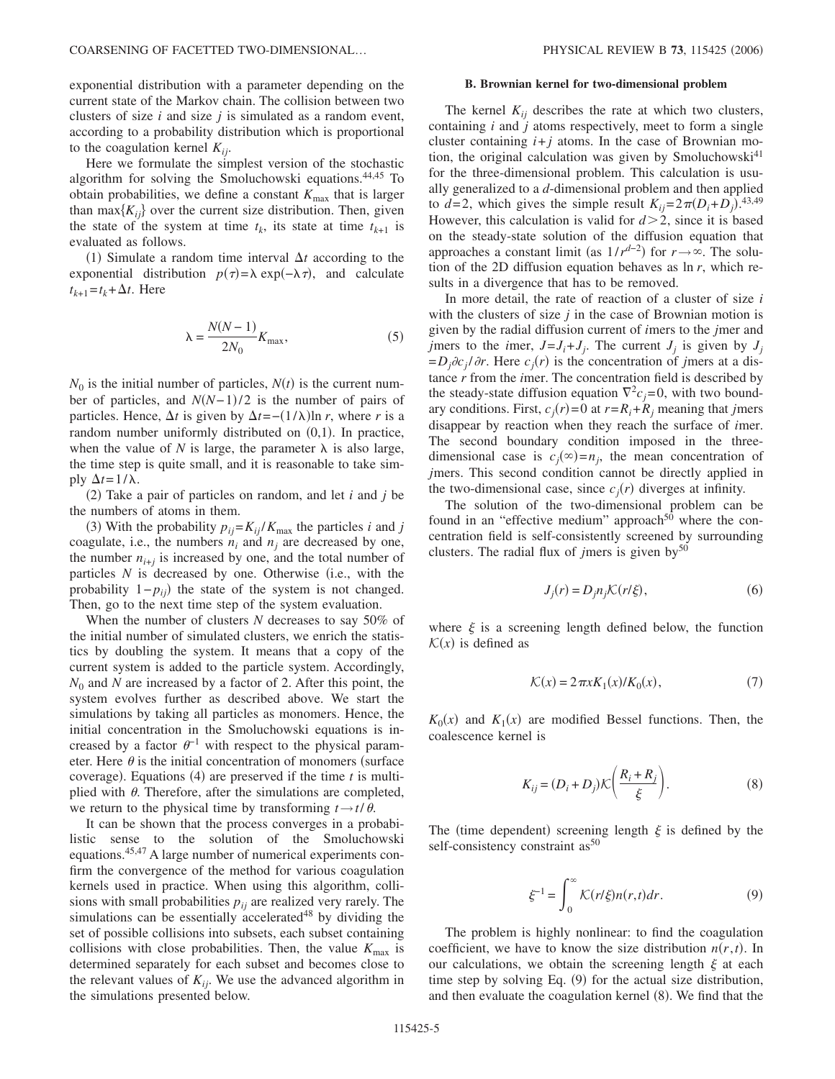exponential distribution with a parameter depending on the current state of the Markov chain. The collision between two clusters of size *i* and size *j* is simulated as a random event, according to a probability distribution which is proportional to the coagulation kernel  $K_{ij}$ .

Here we formulate the simplest version of the stochastic algorithm for solving the Smoluchowski equations.44,45 To obtain probabilities, we define a constant  $K_{\text{max}}$  that is larger than  $max{K_{ij}}$  over the current size distribution. Then, given the state of the system at time  $t_k$ , its state at time  $t_{k+1}$  is evaluated as follows.

(1) Simulate a random time interval  $\Delta t$  according to the exponential distribution  $p(\tau) = \lambda \exp(-\lambda \tau)$ , and calculate  $t_{k+1} = t_k + \Delta t$ . Here

$$
\lambda = \frac{N(N-1)}{2N_0} K_{\text{max}},\tag{5}
$$

 $N_0$  is the initial number of particles,  $N(t)$  is the current number of particles, and  $N(N-1)/2$  is the number of pairs of particles. Hence,  $\Delta t$  is given by  $\Delta t = -(1/\lambda) \ln r$ , where *r* is a random number uniformly distributed on  $(0,1)$ . In practice, when the value of *N* is large, the parameter  $\lambda$  is also large, the time step is quite small, and it is reasonable to take simply  $\Delta t = 1/\lambda$ .

(2) Take a pair of particles on random, and let  $i$  and  $j$  be the numbers of atoms in them.

(3) With the probability  $p_{ij} = K_{ij}/K_{\text{max}}$  the particles *i* and *j* coagulate, i.e., the numbers  $n_i$  and  $n_j$  are decreased by one, the number  $n_{i+j}$  is increased by one, and the total number of particles  $N$  is decreased by one. Otherwise (i.e., with the probability  $1-p_{ij}$ ) the state of the system is not changed. Then, go to the next time step of the system evaluation.

When the number of clusters *N* decreases to say 50% of the initial number of simulated clusters, we enrich the statistics by doubling the system. It means that a copy of the current system is added to the particle system. Accordingly,  $N_0$  and  $N$  are increased by a factor of 2. After this point, the system evolves further as described above. We start the simulations by taking all particles as monomers. Hence, the initial concentration in the Smoluchowski equations is increased by a factor  $\theta^{-1}$  with respect to the physical parameter. Here  $\theta$  is the initial concentration of monomers (surface coverage). Equations  $(4)$  are preserved if the time  $t$  is multiplied with  $\theta$ . Therefore, after the simulations are completed, we return to the physical time by transforming  $t \rightarrow t/\theta$ .

It can be shown that the process converges in a probabilistic sense to the solution of the Smoluchowski equations.45,47 A large number of numerical experiments confirm the convergence of the method for various coagulation kernels used in practice. When using this algorithm, collisions with small probabilities  $p_{ij}$  are realized very rarely. The simulations can be essentially accelerated $48$  by dividing the set of possible collisions into subsets, each subset containing collisions with close probabilities. Then, the value  $K_{\text{max}}$  is determined separately for each subset and becomes close to the relevant values of  $K_{ii}$ . We use the advanced algorithm in the simulations presented below.

#### **B. Brownian kernel for two-dimensional problem**

The kernel  $K_{ij}$  describes the rate at which two clusters, containing *i* and *j* atoms respectively, meet to form a single cluster containing  $i+j$  atoms. In the case of Brownian motion, the original calculation was given by Smoluchowski<sup>41</sup> for the three-dimensional problem. This calculation is usually generalized to a *d*-dimensional problem and then applied to  $d=2$ , which gives the simple result  $K_{ij}=2\pi(D_i+D_j)^{43,49}$ However, this calculation is valid for  $d > 2$ , since it is based on the steady-state solution of the diffusion equation that approaches a constant limit (as  $1/r^{d-2}$ ) for  $r \to \infty$ . The solution of the 2D diffusion equation behaves as ln *r*, which results in a divergence that has to be removed.

In more detail, the rate of reaction of a cluster of size *i* with the clusters of size  $j$  in the case of Brownian motion is given by the radial diffusion current of *i*mers to the *j*mer and *j*mers to the *i*mer,  $J = J_i + J_j$ . The current  $J_j$  is given by  $J_j$  $= D_j \partial c_j / \partial r$ . Here  $c_j(r)$  is the concentration of *j*mers at a distance *r* from the *i*mer. The concentration field is described by the steady-state diffusion equation  $\nabla^2 c_j = 0$ , with two boundary conditions. First,  $c_j(r) = 0$  at  $r = R_i + R_j$  meaning that *j*mers disappear by reaction when they reach the surface of *i*mer. The second boundary condition imposed in the threedimensional case is  $c_j(\infty) = n_j$ , the mean concentration of *j*mers. This second condition cannot be directly applied in the two-dimensional case, since  $c_j(r)$  diverges at infinity.

The solution of the two-dimensional problem can be found in an "effective medium" approach<sup>50</sup> where the concentration field is self-consistently screened by surrounding clusters. The radial flux of *j*mers is given by<sup>50</sup>

$$
J_j(r) = D_j n_j \mathcal{K}(r/\xi),\tag{6}
$$

where  $\xi$  is a screening length defined below, the function  $\mathcal{K}(x)$  is defined as

$$
\mathcal{K}(x) = 2\pi x K_1(x) / K_0(x),\tag{7}
$$

 $K_0(x)$  and  $K_1(x)$  are modified Bessel functions. Then, the coalescence kernel is

$$
K_{ij} = (D_i + D_j)\mathcal{K}\left(\frac{R_i + R_j}{\xi}\right).
$$
 (8)

The (time dependent) screening length  $\xi$  is defined by the self-consistency constraint  $as^{50}$ 

$$
\xi^{-1} = \int_0^\infty \mathcal{K}(r/\xi)n(r,t)dr.
$$
 (9)

The problem is highly nonlinear: to find the coagulation coefficient, we have to know the size distribution  $n(r, t)$ . In our calculations, we obtain the screening length  $\xi$  at each time step by solving Eq. (9) for the actual size distribution, and then evaluate the coagulation kernel (8). We find that the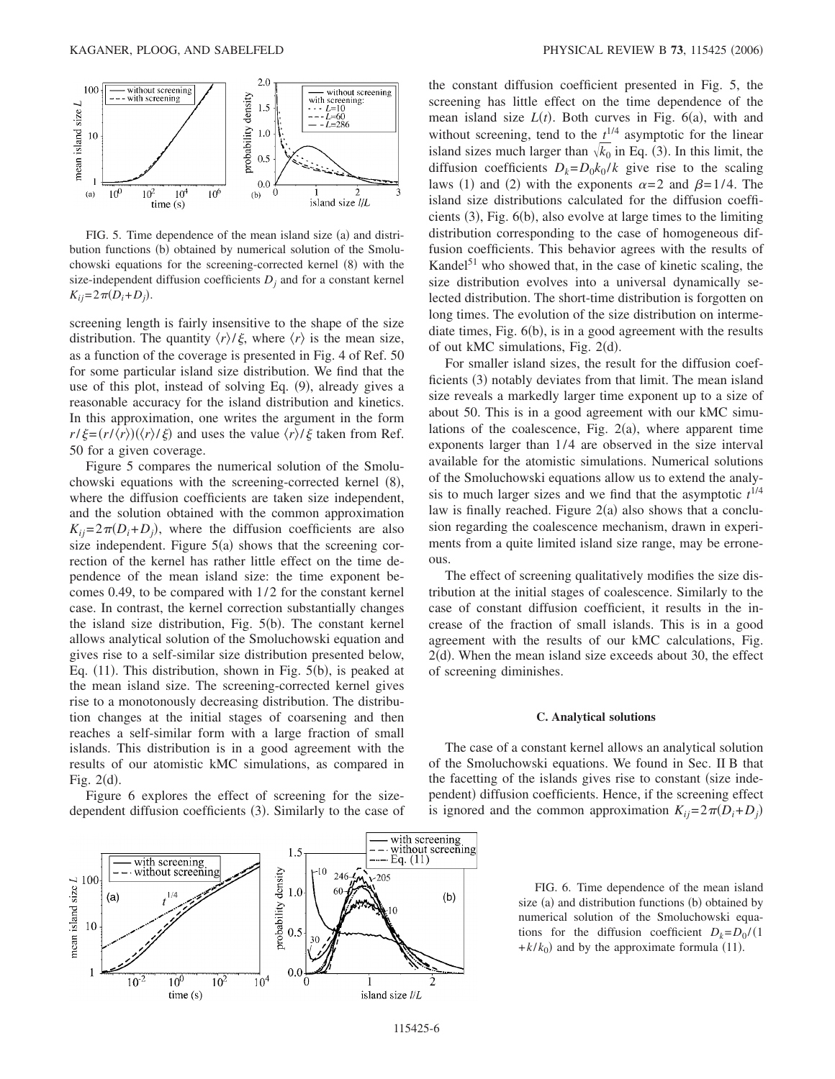

FIG. 5. Time dependence of the mean island size (a) and distribution functions (b) obtained by numerical solution of the Smoluchowski equations for the screening-corrected kernel (8) with the size-independent diffusion coefficients  $D_i$  and for a constant kernel  $K_{ij} = 2\pi (D_i + D_j).$ 

screening length is fairly insensitive to the shape of the size distribution. The quantity  $\langle r \rangle / \xi$ , where  $\langle r \rangle$  is the mean size, as a function of the coverage is presented in Fig. 4 of Ref. 50 for some particular island size distribution. We find that the use of this plot, instead of solving Eq. (9), already gives a reasonable accuracy for the island distribution and kinetics. In this approximation, one writes the argument in the form  $r/\xi = (r/\langle r \rangle)(\langle r \rangle/\xi)$  and uses the value  $\langle r \rangle/\xi$  taken from Ref. 50 for a given coverage.

Figure 5 compares the numerical solution of the Smoluchowski equations with the screening-corrected kernel (8), where the diffusion coefficients are taken size independent, and the solution obtained with the common approximation  $K_{ij} = 2\pi (D_i + D_j)$ , where the diffusion coefficients are also size independent. Figure  $5(a)$  shows that the screening correction of the kernel has rather little effect on the time dependence of the mean island size: the time exponent becomes 0.49, to be compared with  $1/2$  for the constant kernel case. In contrast, the kernel correction substantially changes the island size distribution, Fig. 5(b). The constant kernel allows analytical solution of the Smoluchowski equation and gives rise to a self-similar size distribution presented below, Eq. (11). This distribution, shown in Fig. 5(b), is peaked at the mean island size. The screening-corrected kernel gives rise to a monotonously decreasing distribution. The distribution changes at the initial stages of coarsening and then reaches a self-similar form with a large fraction of small islands. This distribution is in a good agreement with the results of our atomistic kMC simulations, as compared in Fig.  $2(d)$ .

Figure 6 explores the effect of screening for the sizedependent diffusion coefficients (3). Similarly to the case of the constant diffusion coefficient presented in Fig. 5, the screening has little effect on the time dependence of the mean island size  $L(t)$ . Both curves in Fig. 6(a), with and without screening, tend to the  $t^{1/4}$  asymptotic for the linear island sizes much larger than  $\sqrt{k_0}$  in Eq. (3). In this limit, the diffusion coefficients  $D_k = D_0 k_0 / k$  give rise to the scaling laws (1) and (2) with the exponents  $\alpha = 2$  and  $\beta = 1/4$ . The island size distributions calculated for the diffusion coefficients (3), Fig. 6(b), also evolve at large times to the limiting distribution corresponding to the case of homogeneous diffusion coefficients. This behavior agrees with the results of Kandel<sup>51</sup> who showed that, in the case of kinetic scaling, the size distribution evolves into a universal dynamically selected distribution. The short-time distribution is forgotten on long times. The evolution of the size distribution on intermediate times, Fig.  $6(b)$ , is in a good agreement with the results of out kMC simulations, Fig. 2(d).

For smaller island sizes, the result for the diffusion coefficients (3) notably deviates from that limit. The mean island size reveals a markedly larger time exponent up to a size of about 50. This is in a good agreement with our kMC simulations of the coalescence, Fig.  $2(a)$ , where apparent time exponents larger than  $1/4$  are observed in the size interval available for the atomistic simulations. Numerical solutions of the Smoluchowski equations allow us to extend the analysis to much larger sizes and we find that the asymptotic  $t^{1/4}$ law is finally reached. Figure  $2(a)$  also shows that a conclusion regarding the coalescence mechanism, drawn in experiments from a quite limited island size range, may be erroneous.

The effect of screening qualitatively modifies the size distribution at the initial stages of coalescence. Similarly to the case of constant diffusion coefficient, it results in the increase of the fraction of small islands. This is in a good agreement with the results of our kMC calculations, Fig. 2(d). When the mean island size exceeds about 30, the effect of screening diminishes.

#### **C. Analytical solutions**

The case of a constant kernel allows an analytical solution of the Smoluchowski equations. We found in Sec. II B that the facetting of the islands gives rise to constant (size independent) diffusion coefficients. Hence, if the screening effect is ignored and the common approximation  $K_{ij} = 2\pi (D_i + D_j)$ 



FIG. 6. Time dependence of the mean island size (a) and distribution functions (b) obtained by numerical solution of the Smoluchowski equations for the diffusion coefficient  $D_k = D_0 / (1$  $+k/k_0$ ) and by the approximate formula (11).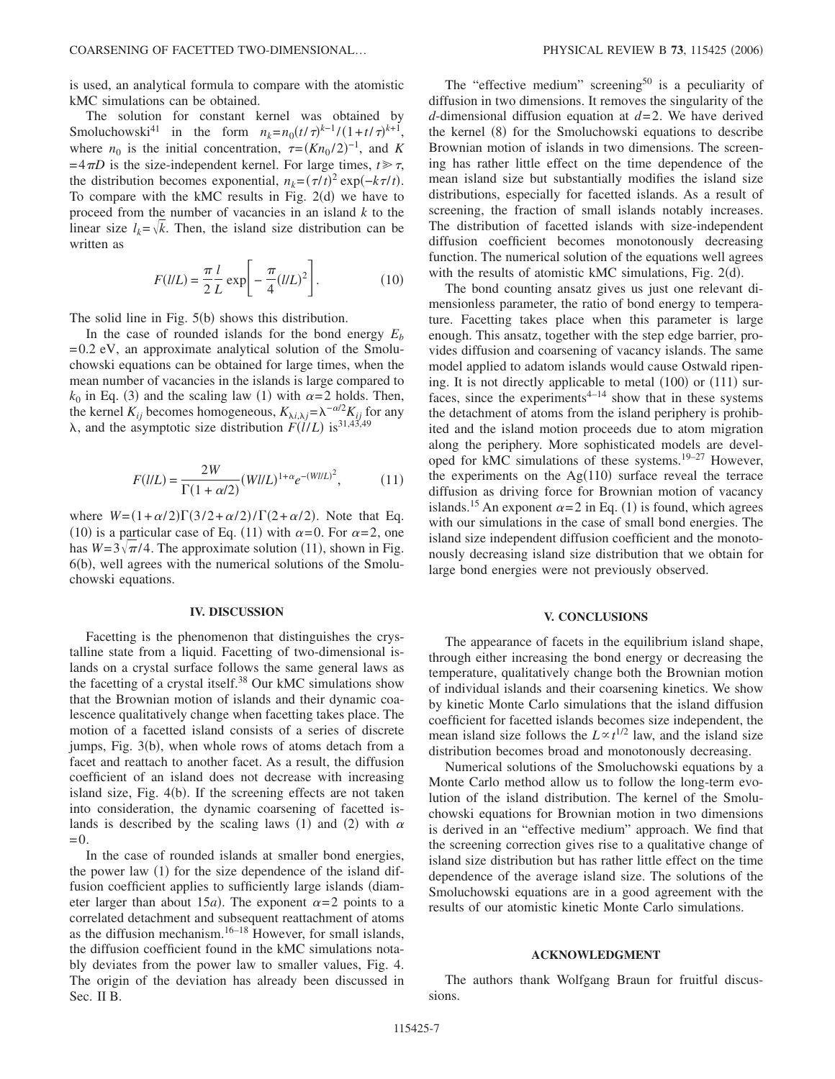is used, an analytical formula to compare with the atomistic kMC simulations can be obtained.

The solution for constant kernel was obtained by Smoluchowski<sup>41</sup> in the form  $n_k = n_0(t/\tau)^{k-1}/(1+t/\tau)^{k+1}$ , where  $n_0$  is the initial concentration,  $\tau = (Kn_0/2)^{-1}$ , and *K*  $=4\pi D$  is the size-independent kernel. For large times,  $t \geq \tau$ , the distribution becomes exponential,  $n_k = (\tau/t)^2 \exp(-k\tau/t)$ . To compare with the kMC results in Fig.  $2(d)$  we have to proceed from the number of vacancies in an island *k* to the linear size  $l_k = \sqrt{k}$ . Then, the island size distribution can be written as

$$
F(l/L) = \frac{\pi}{2} \frac{l}{L} \exp\left[-\frac{\pi}{4} (l/L)^2\right].
$$
 (10)

The solid line in Fig.  $5(b)$  shows this distribution.

In the case of rounded islands for the bond energy  $E<sub>b</sub>$  $= 0.2$  eV, an approximate analytical solution of the Smoluchowski equations can be obtained for large times, when the mean number of vacancies in the islands is large compared to  $k_0$  in Eq. (3) and the scaling law (1) with  $\alpha = 2$  holds. Then, the kernel  $K_{ij}$  becomes homogeneous,  $K_{\lambda i,\lambda j} = \lambda^{-\alpha/2} K_{ij}$  for any  $\lambda$ , and the asymptotic size distribution  $F(\ell/L)$  is <sup>31,43,49</sup>

$$
F(UL) = \frac{2W}{\Gamma(1 + \alpha/2)} (WILL)^{1 + \alpha} e^{-(WILL)^{2}},
$$
 (11)

where  $W = (1 + \alpha/2)\Gamma(3/2 + \alpha/2)/\Gamma(2 + \alpha/2)$ . Note that Eq. (10) is a particular case of Eq. (11) with  $\alpha = 0$ . For  $\alpha = 2$ , one has  $W=3\sqrt{\pi}/4$ . The approximate solution (11), shown in Fig. 6(b), well agrees with the numerical solutions of the Smoluchowski equations.

#### **IV. DISCUSSION**

Facetting is the phenomenon that distinguishes the crystalline state from a liquid. Facetting of two-dimensional islands on a crystal surface follows the same general laws as the facetting of a crystal itself.<sup>38</sup> Our kMC simulations show that the Brownian motion of islands and their dynamic coalescence qualitatively change when facetting takes place. The motion of a facetted island consists of a series of discrete jumps, Fig. 3(b), when whole rows of atoms detach from a facet and reattach to another facet. As a result, the diffusion coefficient of an island does not decrease with increasing island size, Fig. 4(b). If the screening effects are not taken into consideration, the dynamic coarsening of facetted islands is described by the scaling laws (1) and (2) with  $\alpha$  $=0.$ 

In the case of rounded islands at smaller bond energies, the power law (1) for the size dependence of the island diffusion coefficient applies to sufficiently large islands (diameter larger than about 15*a*). The exponent  $\alpha = 2$  points to a correlated detachment and subsequent reattachment of atoms as the diffusion mechanism.<sup>16–18</sup> However, for small islands, the diffusion coefficient found in the kMC simulations notably deviates from the power law to smaller values, Fig. 4. The origin of the deviation has already been discussed in Sec. II B.

The "effective medium" screening<sup>50</sup> is a peculiarity of diffusion in two dimensions. It removes the singularity of the *d*-dimensional diffusion equation at *d*= 2. We have derived the kernel (8) for the Smoluchowski equations to describe Brownian motion of islands in two dimensions. The screening has rather little effect on the time dependence of the mean island size but substantially modifies the island size distributions, especially for facetted islands. As a result of screening, the fraction of small islands notably increases. The distribution of facetted islands with size-independent diffusion coefficient becomes monotonously decreasing function. The numerical solution of the equations well agrees with the results of atomistic kMC simulations, Fig. 2(d).

The bond counting ansatz gives us just one relevant dimensionless parameter, the ratio of bond energy to temperature. Facetting takes place when this parameter is large enough. This ansatz, together with the step edge barrier, provides diffusion and coarsening of vacancy islands. The same model applied to adatom islands would cause Ostwald ripening. It is not directly applicable to metal  $(100)$  or  $(111)$  surfaces, since the experiments $4-14$  show that in these systems the detachment of atoms from the island periphery is prohibited and the island motion proceeds due to atom migration along the periphery. More sophisticated models are developed for kMC simulations of these systems.19–27 However, the experiments on the  $Ag(110)$  surface reveal the terrace diffusion as driving force for Brownian motion of vacancy islands.<sup>15</sup> An exponent  $\alpha = 2$  in Eq. (1) is found, which agrees with our simulations in the case of small bond energies. The island size independent diffusion coefficient and the monotonously decreasing island size distribution that we obtain for large bond energies were not previously observed.

#### **V. CONCLUSIONS**

The appearance of facets in the equilibrium island shape, through either increasing the bond energy or decreasing the temperature, qualitatively change both the Brownian motion of individual islands and their coarsening kinetics. We show by kinetic Monte Carlo simulations that the island diffusion coefficient for facetted islands becomes size independent, the mean island size follows the  $L \propto t^{1/2}$  law, and the island size distribution becomes broad and monotonously decreasing.

Numerical solutions of the Smoluchowski equations by a Monte Carlo method allow us to follow the long-term evolution of the island distribution. The kernel of the Smoluchowski equations for Brownian motion in two dimensions is derived in an "effective medium" approach. We find that the screening correction gives rise to a qualitative change of island size distribution but has rather little effect on the time dependence of the average island size. The solutions of the Smoluchowski equations are in a good agreement with the results of our atomistic kinetic Monte Carlo simulations.

#### **ACKNOWLEDGMENT**

The authors thank Wolfgang Braun for fruitful discussions.